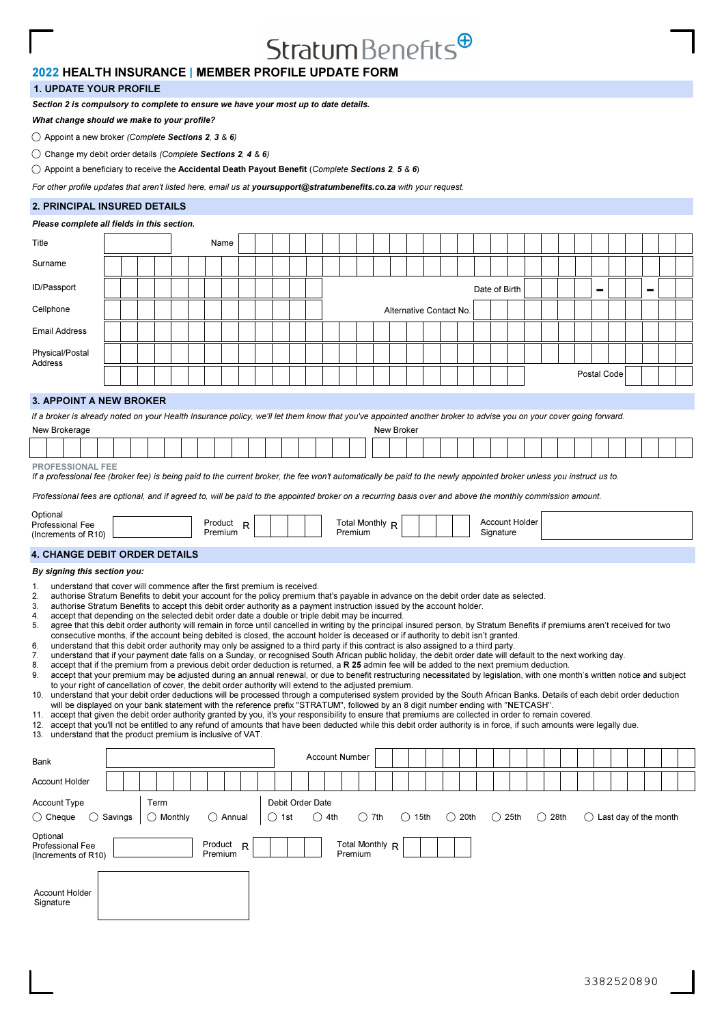# $Stratum Benefits<sup>④</sup>$

## 2020 2022 HEALTH INSURANCE | MEMBER PROFILE UPDATE FORM

## 1. UPDATE YOUR PROFILE 1. UPDATE YOUR PROFILE

Section 2 is compulsory to complete to ensure we have your most up to date details.

What change should we make to your profile?

 $\bigcirc$  Appoint a new broker (Complete Sections 2, 3 & 6)

 $\bigcirc$  Change my debit order details (Complete Sections 2, 4 & 6)

 $\bigcirc$  Appoint a beneficiary to receive the Accidental Death Payout Benefit (Complete Sections 2, 5 & 6)

For other profile updates that aren't listed here, email us at yoursupport@stratumbenefits.co.za with your request.

## 2. PRINCIPAL INSURED DETAILS

#### Please complete all fields in this section. Surname Title Name Postal Code 3. APPOINT A NEW BROKER PROFESSIONAL FEE If a professional fee (broker fee) is being paid to the current broker, the fee won't automatically be paid to the newly appointed broker unless you instruct us to. Professional fees are optional, and if agreed to, will be paid to the appointed broker on a recurring basis over and above the monthly commission amount. If a broker is already noted on your Health Insurance policy, we'll let them know that you've appointed another broker to advise you on your cover going forward. **Optional** Professional Fee (Increments of R10) Account Holder **Signature** Total Monthly R<br>Premium Product Product<sub>R</sub><br>Premium New Brokerage New Brokerage New Broker New Broker New Broker New Broker New Broker Cellphone | | | | | | | | | | | | | | | Alternative Contact No. Email Address Physical/Postal **Address** ID/Passport Date of Birth - - By signing this section you: **4. CHANGE DEBIT ORDER DETAILS** 1. understand that cover will commence after the first premium is received.<br>2. authorise Stratum Benefits to debit your account for the policy premium is 2. authorise Stratum Benefits to debit your account for the policy premium that's payable in advance on the debit order date as selected.<br>3. authorise Stratum Benefits to accent this debit order authority as a nayment inst authorise Stratum Benefits to accept this debit order authority as a payment instruction issued by the account holder. 4. accept that depending on the selected debit order date a double or triple debit may be incurred.<br>5. agree that this debit order authority will remain in force until cancelled in writing by the principal agree that this debit order authority will remain in force until cancelled in writing by the principal insured person, by Stratum Benefits if premiums aren't received for two consecutive months, if the account being debited is closed, the account holder is deceased or if authority to debit isn't granted. understand that this debit order authority may only be assigned to a third party if this contract is also assigned to a third party. 7. understand that if your payment date falls on a Sunday, or recognised South African public holiday, the debit order date will default to the next working day.<br>8. accept that if the premium from a previous debit order de 8. accept that if the premium from a previous debit order deduction is returned, a R 25 admin fee will be added to the next premium deduction.<br>9. accept that your premium may be adjusted during an annual renewal, or due to accept that your premium may be adjusted during an annual renewal, or due to benefit restructuring necessitated by legislation, with one month's written notice and subject to your right of cancellation of cover, the debit order authority will extend to the adjusted premium. 10. understand that your debit order deductions will be processed through a computerised system provided by the South African Banks. Details of each debit order deduction will be displayed on your bank statement with the reference prefix "STRATUM", followed by an 8 digit number ending with "NETCASH".<br>11 accept that given the debit order authority granted by you it's your responsibility to e accept that given the debit order authority granted by you, it's your responsibility to ensure that premiums are collected in order to remain covered. 12. accept that you'll not be entitled to any refund of amounts that have been deducted while this debit order authority is in force, if such amounts were legally due.<br>13. understand that the product premium is inclusive o 13. understand that the product premium is inclusive of VAT. Account Type  $\bigcirc$  Cheque  $\bigcirc$  Savings Term  $\bigcirc$  Monthly  $\bigcirc$  Annual Debit Order Date  $\bigcirc$  1st  $\bigcirc$  4th  $\bigcirc$  7th  $\bigcirc$  15th  $\bigcirc$  20th  $\bigcirc$  25th  $\bigcirc$  28th  $\bigcirc$  Last day of the month Account Holder Bank **Account Number Account Number Optional** Professional Fee (Increments of R10) Product  $R$  | | | | Total Monthly  $R$ Premium Premium Product<sub>R</sub> Account Holder Signature